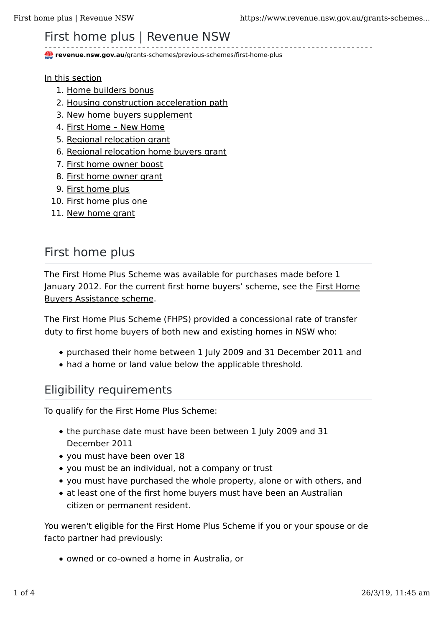# First home plus | Revenue NSW

**revenue.nsw.gov.au**/grants-schemes/previous-schemes/first-home-plus

In this section

- 1. Home builders bonus
- 2. Housing construction acceleration path
- 3. New home buyers supplement
- 4. First Home New Home
- 5. Regional relocation grant
- 6. Regional relocation home buyers grant
- 7. First home owner boost
- 8. First home owner grant
- 9. First home plus
- 10. First home plus one
- 11. New home grant

# First home plus

The First Home Plus Scheme was available for purchases made before 1 January 2012. For the current first home buyers' scheme, see the First Home Buyers Assistance scheme.

The First Home Plus Scheme (FHPS) provided a concessional rate of transfer duty to first home buyers of both new and existing homes in NSW who:

- purchased their home between 1 July 2009 and 31 December 2011 and
- had a home or land value below the applicable threshold.

#### Eligibility requirements

To qualify for the First Home Plus Scheme:

- the purchase date must have been between 1 July 2009 and 31 December 2011
- you must have been over 18
- you must be an individual, not a company or trust
- you must have purchased the whole property, alone or with others, and
- at least one of the first home buyers must have been an Australian citizen or permanent resident.

You weren't eligible for the First Home Plus Scheme if you or your spouse or de facto partner had previously:

• owned or co-owned a home in Australia, or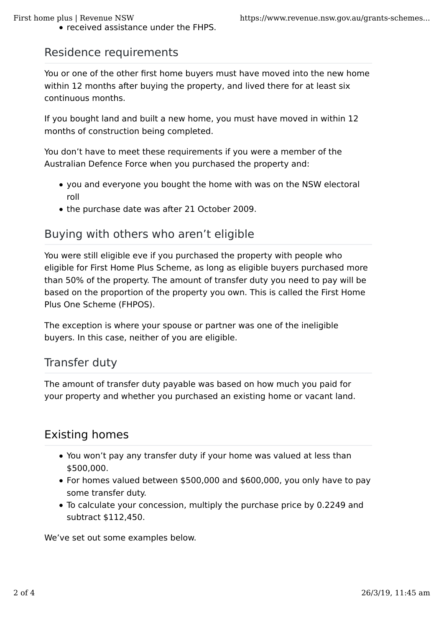• received assistance under the FHPS.

#### Residence requirements

You or one of the other first home buyers must have moved into the new home within 12 months after buying the property, and lived there for at least six continuous months.

If you bought land and built a new home, you must have moved in within 12 months of construction being completed.

You don't have to meet these requirements if you were a member of the Australian Defence Force when you purchased the property and:

- you and everyone you bought the home with was on the NSW electoral roll
- the purchase date was after 21 October 2009.

### Buying with others who aren't eligible

You were still eligible eve if you purchased the property with people who eligible for First Home Plus Scheme, as long as eligible buyers purchased more than 50% of the property. The amount of transfer duty you need to pay will be based on the proportion of the property you own. This is called the First Home Plus One Scheme (FHPOS).

The exception is where your spouse or partner was one of the ineligible buyers. In this case, neither of you are eligible.

#### Transfer duty

The amount of transfer duty payable was based on how much you paid for your property and whether you purchased an existing home or vacant land.

# Existing homes

- You won't pay any transfer duty if your home was valued at less than \$500,000.
- For homes valued between \$500,000 and \$600,000, you only have to pay some transfer duty.
- To calculate your concession, multiply the purchase price by 0.2249 and subtract \$112,450.

We've set out some examples below.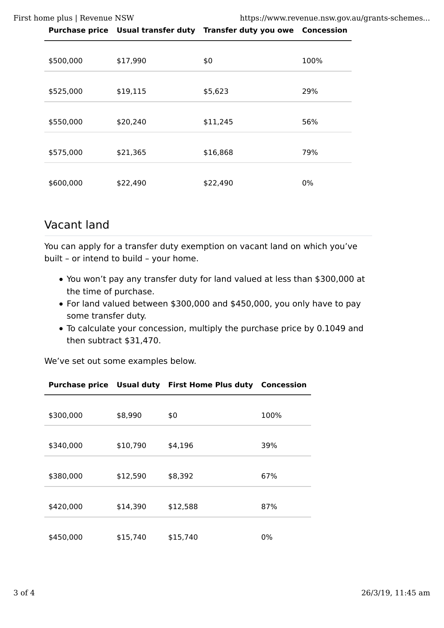First home plus | Revenue NSW https://www.revenue.nsw.gov.au/grants-schemes...

|           |          | Purchase price Usual transfer duty Transfer duty you owe Concession |      |
|-----------|----------|---------------------------------------------------------------------|------|
|           |          |                                                                     |      |
| \$500,000 | \$17,990 | \$0                                                                 | 100% |
| \$525,000 | \$19,115 | \$5,623                                                             | 29%  |
| \$550,000 | \$20,240 | \$11,245                                                            | 56%  |
| \$575,000 | \$21,365 | \$16,868                                                            | 79%  |
| \$600,000 | \$22,490 | \$22,490                                                            | 0%   |

#### Vacant land

You can apply for a transfer duty exemption on vacant land on which you've built – or intend to build – your home.

- You won't pay any transfer duty for land valued at less than \$300,000 at the time of purchase.
- For land valued between \$300,000 and \$450,000, you only have to pay some transfer duty.
- To calculate your concession, multiply the purchase price by 0.1049 and then subtract \$31,470.

We've set out some examples below.

| \$300,000 | \$8,990  | \$0      | 100%  |
|-----------|----------|----------|-------|
| \$340,000 | \$10,790 | \$4,196  | 39%   |
| \$380,000 | \$12,590 | \$8,392  | 67%   |
| \$420,000 | \$14,390 | \$12,588 | 87%   |
| \$450,000 | \$15,740 | \$15,740 | $0\%$ |

**Purchase price Usual duty First Home Plus duty Concession**